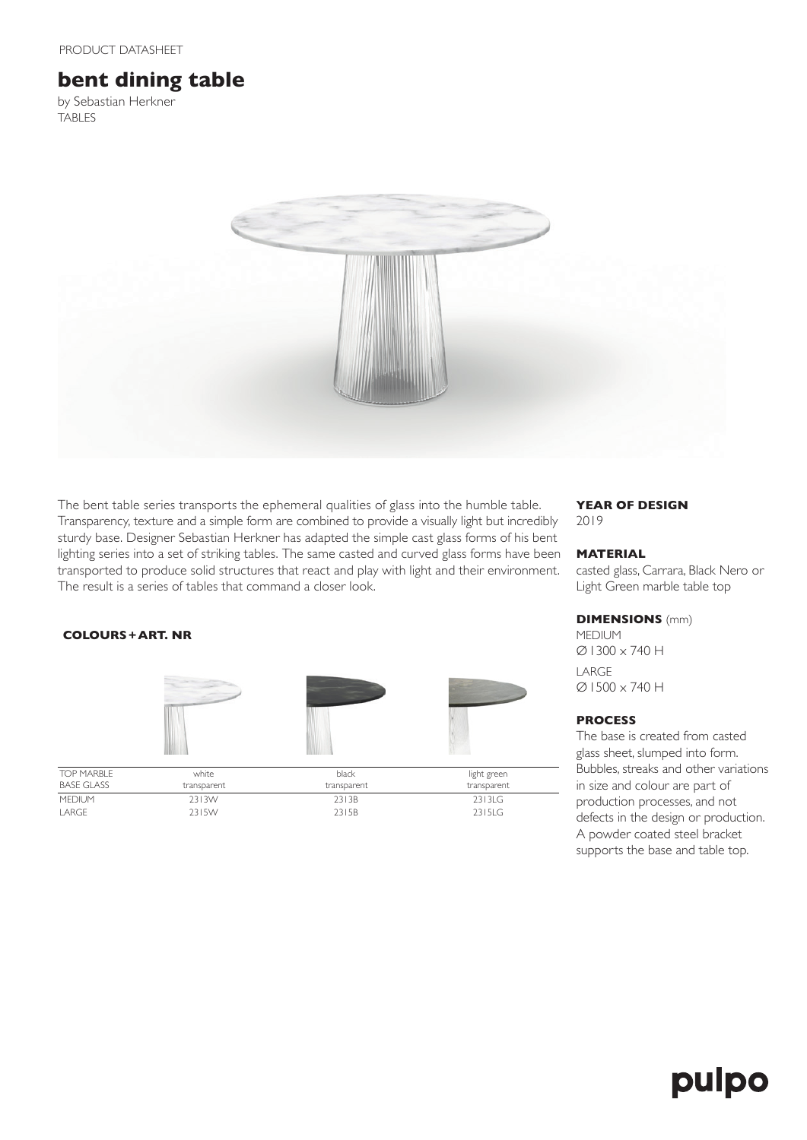# **bent dining table**

by Sebastian Herkner TABLES



The bent table series transports the ephemeral qualities of glass into the humble table. Transparency, texture and a simple form are combined to provide a visually light but incredibly sturdy base. Designer Sebastian Herkner has adapted the simple cast glass forms of his bent lighting series into a set of striking tables. The same casted and curved glass forms have been transported to produce solid structures that react and play with light and their environment. The result is a series of tables that command a closer look.

### **YEAR OF DESIGN** 2019

## **MATERIAL**

casted glass, Carrara, Black Nero or Light Green marble table top

### **DIMENSIONS** (mm)

**MEDIUM** Ø1300 x 740 H LARGE Ø1500 x 740 H

### **PROCESS**

The base is created from casted glass sheet, slumped into form. Bubbles, streaks and other variations in size and colour are part of production processes, and not defects in the design or production. A powder coated steel bracket supports the base and table top.

### **COLOURS+ART. NR**



| <b>TOP MARBLE</b> | white       | black       | light green |
|-------------------|-------------|-------------|-------------|
| BASE GLASS        | transparent | transparent | transparent |
| <b>MEDIUM</b>     | 2313W       | 2313B       | 2313LG      |
| LARGE             | 2315W       | 2315B       | 2315LG      |

# pulpo